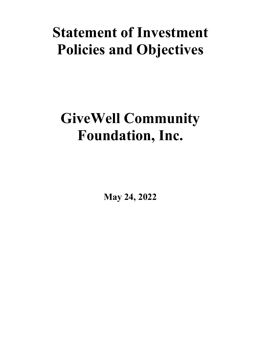# **Statement of Investment Policies and Objectives**

# **GiveWell Community Foundation, Inc.**

**May 24, 2022**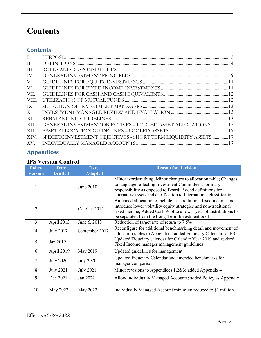# **Contents**

## **Contents**

| $\mathbf{L}$ |                                                                |  |
|--------------|----------------------------------------------------------------|--|
| II.          |                                                                |  |
| III.         |                                                                |  |
| IV.          |                                                                |  |
| V.           |                                                                |  |
| VI.          |                                                                |  |
| VII.         |                                                                |  |
| VIII.        |                                                                |  |
| IX.          |                                                                |  |
| Х.           |                                                                |  |
| XI.          |                                                                |  |
| XII.         | GENERAL INVESTMENT OBJECTIVES - POOLED ASSET ALLOCATIONS 15    |  |
| XIII.        |                                                                |  |
| XIV.         | SPECIFIC INVESTMENT OBJECTIVES - SHORT TERM LIQUIDITY ASSETS17 |  |
| XV.          |                                                                |  |

# **Appendices**

## **IPS Version Control**

| <b>Policy</b>  | <b>Date</b>      | <b>Date</b>      | <b>Reason for Revision</b>                                                                                                                                                                                                                                     |
|----------------|------------------|------------------|----------------------------------------------------------------------------------------------------------------------------------------------------------------------------------------------------------------------------------------------------------------|
| <b>Version</b> | <b>Drafted</b>   | <b>Adopted</b>   |                                                                                                                                                                                                                                                                |
|                |                  | June 2010        | Minor wordsmithing; Minor changes to allocation table; Changes<br>to language reflecting Investment Committee as primary<br>responsibility as opposed to Board; Added definitions for<br>alternative assets and clarification to International classification. |
| 2              |                  | October 2012     | Amended allocation to include less traditional fixed income and<br>introduce lower volatility equity strategies and non-traditional<br>fixed income; Added Cash Pool to allow 1 year of distributions to<br>be separated from the Long-Term Investment pool    |
| 3              | April 2013       | June 6, 2013     | Reduction of target rate of return to 7.5%                                                                                                                                                                                                                     |
| 4              | <b>July 2017</b> | September 2017   | Reconfigure for additional benchmarking detail and movement of<br>allocation tables to Appendix - added Fiduciary Calendar to IPS                                                                                                                              |
| 5              | Jan 2019         |                  | Updated Fiduciary calendar for Calendar Year 2019 and revised<br>Fixed Income manager management guidelines                                                                                                                                                    |
| 6              | April 2019       | May 2019         | Updated guidelines for management                                                                                                                                                                                                                              |
| 7              | <b>July 2020</b> | <b>July 2020</b> | Updated Fiduciary Calendar and amended benchmarks for<br>manager comparison                                                                                                                                                                                    |
| 8              | <b>July 2021</b> | <b>July 2021</b> | Minor revisions to Appendices 1,2&3; added Appendix 4                                                                                                                                                                                                          |
| 9              | Dec 2021         | Jan 2022         | Allow Individually Managed Accounts; added Policy as Appendix<br>5                                                                                                                                                                                             |
| 10             | May 2022         | May 2022         | Individually Managed Account minimum reduced to \$1 million                                                                                                                                                                                                    |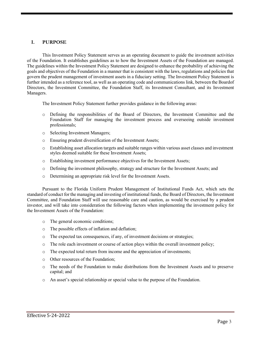#### <span id="page-2-0"></span>**I. PURPOSE**

This Investment Policy Statement serves as an operating document to guide the investment activities of the Foundation. It establishes guidelines as to how the Investment Assets of the Foundation are managed. The guidelines within the Investment Policy Statement are designed to enhance the probability of achieving the goals and objectives of the Foundation in a manner that is consistent with the laws, regulations and policies that govern the prudent management of investment assets in a fiduciary setting. The Investment Policy Statement is further intended as a reference tool, as well as an operating code and communications link, between the Boardof Directors, the Investment Committee, the Foundation Staff, its Investment Consultant, and its Investment Managers.

The Investment Policy Statement further provides guidance in the following areas:

- o Defining the responsibilities of the Board of Directors, the Investment Committee and the Foundation Staff for managing the investment process and overseeing outside investment professionals;
- o Selecting Investment Managers;
- o Ensuring prudent diversification of the Investment Assets;
- o Establishing asset allocation targets and suitable ranges within various asset classes and investment styles deemed suitable for these Investment Assets;
- o Establishing investment performance objectives for the Investment Assets;
- o Defining the investment philosophy, strategy and structure for the Investment Assets; and
- o Determining an appropriate risk level for the Investment Assets.

Pursuant to the Florida Uniform Prudent Management of Institutional Funds Act, which sets the standard of conduct for the managing and investing of institutional funds, the Board of Directors, the Investment Committee, and Foundation Staff will use reasonable care and caution, as would be exercised by a prudent investor, and will take into consideration the following factors when implementing the investment policy for the Investment Assets of the Foundation:

- o The general economic conditions;
- o The possible effects of inflation and deflation;
- o The expected tax consequences, if any, of investment decisions or strategies;
- o The role each investment or course of action plays within the overall investment policy;
- o The expected total return from income and the appreciation of investments;
- o Other resources of the Foundation;
- o The needs of the Foundation to make distributions from the Investment Assets and to preserve capital; and
- o An asset's special relationship or special value to the purpose of the Foundation.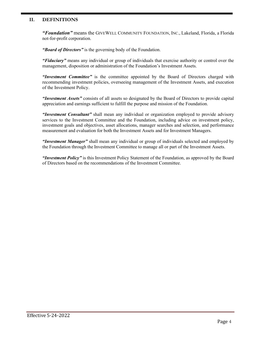#### <span id="page-3-0"></span>**II. DEFINITIONS**

*"Foundation"* means the GIVEWELL COMMUNITY FOUNDATION, INC., Lakeland, Florida, a Florida not-for-profit corporation.

*"Board of Directors"* is the governing body of the Foundation.

*"Fiduciary"* means any individual or group of individuals that exercise authority or control over the management, disposition or administration of the Foundation's Investment Assets.

*"Investment Committee"* is the committee appointed by the Board of Directors charged with recommending investment policies, overseeing management of the Investment Assets, and execution of the Investment Policy.

*"Investment Assets"* consists of all assets so designated by the Board of Directors to provide capital appreciation and earnings sufficient to fulfill the purpose and mission of the Foundation.

*"Investment Consultant"* shall mean any individual or organization employed to provide advisory services to the Investment Committee and the Foundation, including advice on investment policy, investment goals and objectives, asset allocations, manager searches and selection, and performance measurement and evaluation for both the Investment Assets and for Investment Managers.

*"Investment Manager"* shall mean any individual or group of individuals selected and employed by the Foundation through the Investment Committee to manage all or part of the Investment Assets.

*"Investment Policy"* is this Investment Policy Statement of the Foundation, as approved by the Board of Directors based on the recommendations of the Investment Committee.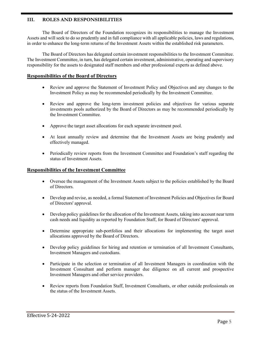#### <span id="page-4-0"></span>**III. ROLES AND RESPONSIBILITIES**

The Board of Directors of the Foundation recognizes its responsibilities to manage the Investment Assets and will seek to do so prudently and in full compliance with all applicable policies, laws and regulations, in order to enhance the long-term returns of the Investment Assets within the established risk parameters.

The Board of Directors has delegated certain investment responsibilities to the Investment Committee. The Investment Committee, in turn, has delegated certain investment, administrative, operating and supervisory responsibility for the assets to designated staff members and other professional experts as defined above.

#### **Responsibilities of the Board of Directors**

- Review and approve the Statement of Investment Policy and Objectives and any changes to the Investment Policy as may be recommended periodically by the Investment Committee.
- Review and approve the long-term investment policies and objectives for various separate investments pools authorized by the Board of Directors as may be recommended periodically by the Investment Committee.
- Approve the target asset allocations for each separate investment pool.
- At least annually review and determine that the Investment Assets are being prudently and effectively managed.
- Periodically review reports from the Investment Committee and Foundation's staff regarding the status of Investment Assets.

#### **Responsibilities of the Investment Committee**

- Oversee the management of the Investment Assets subject to the policies established by the Board of Directors.
- Develop and revise, as needed, a formal Statement of Investment Policies and Objectives for Board of Directors' approval.
- Develop policy guidelines for the allocation of the Investment Assets, taking into account near term cash needs and liquidity as reported by Foundation Staff, for Board of Directors' approval.
- Determine appropriate sub-portfolios and their allocations for implementing the target asset allocations approved by the Board of Directors.
- Develop policy guidelines for hiring and retention or termination of all Investment Consultants, Investment Managers and custodians.
- Participate in the selection or termination of all Investment Managers in coordination with the Investment Consultant and perform manager due diligence on all current and prospective Investment Managers and other service providers.
- Review reports from Foundation Staff, Investment Consultants, or other outside professionals on the status of the Investment Assets.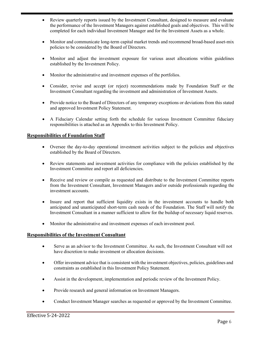- Review quarterly reports issued by the Investment Consultant, designed to measure and evaluate the performance of the Investment Managers against established goals and objectives. This will be completed for each individual Investment Manager and for the Investment Assets as a whole.
- Monitor and communicate long-term capital market trends and recommend broad-based asset-mix policies to be considered by the Board of Directors.
- Monitor and adjust the investment exposure for various asset allocations within guidelines established by the Investment Policy.
- Monitor the administrative and investment expenses of the portfolios.
- Consider, revise and accept (or reject) recommendations made by Foundation Staff or the Investment Consultant regarding the investment and administration of Investment Assets.
- Provide notice to the Board of Directors of any temporary exceptions or deviations from this stated and approved Investment Policy Statement.
- A Fiduciary Calendar setting forth the schedule for various Investment Committee fiduciary responsibilities is attached as an Appendix to this Investment Policy.

#### **Responsibilities of Foundation Staff**

- Oversee the day-to-day operational investment activities subject to the policies and objectives established by the Board of Directors.
- Review statements and investment activities for compliance with the policies established by the Investment Committee and report all deficiencies.
- Receive and review or compile as requested and distribute to the Investment Committee reports from the Investment Consultant, Investment Managers and/or outside professionals regarding the investment accounts.
- Insure and report that sufficient liquidity exists in the investment accounts to handle both anticipated and unanticipated short-term cash needs of the Foundation. The Staff will notify the Investment Consultant in a manner sufficient to allow for the buildup of necessary liquid reserves.
- Monitor the administrative and investment expenses of each investment pool.

#### **Responsibilities of the Investment Consultant**

- Serve as an advisor to the Investment Committee. As such, the Investment Consultant will not have discretion to make investment or allocation decisions.
- Offer investment advice that is consistent with the investment objectives, policies, guidelines and constraints as established in this Investment Policy Statement.
- Assist in the development, implementation and periodic review of the Investment Policy.
- Provide research and general information on Investment Managers.
- Conduct Investment Manager searches as requested or approved by the Investment Committee.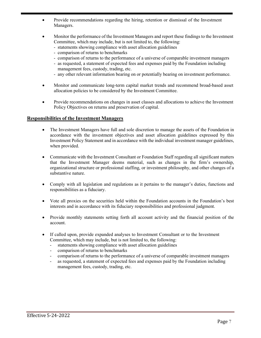- Provide recommendations regarding the hiring, retention or dismissal of the Investment Managers.
- Monitor the performance of the Investment Managers and report these findings to the Investment Committee, which may include, but is not limited to, the following:
	- statements showing compliance with asset allocation guidelines
	- comparison of returns to benchmarks
	- comparison of returns to the performance of a universe of comparable investment managers
	- as requested, a statement of expected fees and expenses paid by the Foundation including management fees, custody, trading, etc.
	- any other relevant information bearing on or potentially bearing on investment performance.
- Monitor and communicate long-term capital market trends and recommend broad-based asset allocation policies to be considered by the Investment Committee.
- Provide recommendations on changes in asset classes and allocations to achieve the Investment Policy Objectives on returns and preservation of capital.

#### **Responsibilities of the Investment Managers**

- The Investment Managers have full and sole discretion to manage the assets of the Foundation in accordance with the investment objectives and asset allocation guidelines expressed by this Investment Policy Statement and in accordance with the individual investment manager guidelines, when provided.
- Communicate with the Investment Consultant or Foundation Staff regarding all significant matters that the Investment Manager deems material, such as changes in the firm's ownership, organizational structure or professional staffing, or investment philosophy, and other changes of a substantive nature.
- Comply with all legislation and regulations as it pertains to the manager's duties, functions and responsibilities as a fiduciary.
- Vote all proxies on the securities held within the Foundation accounts in the Foundation's best interests and in accordance with its fiduciary responsibilities and professional judgment.
- Provide monthly statements setting forth all account activity and the financial position of the account.
- If called upon, provide expanded analyses to Investment Consultant or to the Investment Committee, which may include, but is not limited to, the following:
	- statements showing compliance with asset allocation guidelines
	- comparison of returns to benchmarks
	- comparison of returns to the performance of a universe of comparable investment managers
	- as requested, a statement of expected fees and expenses paid by the Foundation including management fees, custody, trading, etc.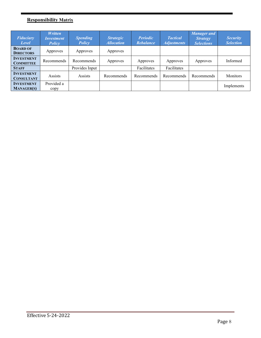## **Responsibility Matrix**

| <b>Fiduciary</b><br>Level              | <b>Written</b><br><b>Investment</b><br><b>Policy</b> | <b>Spending</b><br>Policy | <b>Strategic</b><br><b>Allocation</b> | <b>Periodic</b><br><b>Rebalance</b> | <b>Tactical</b><br><b>Adjustments</b> | <b>Manager</b> and<br><b>Strategy</b><br><b>Selections</b> | <b>Security</b><br><b>Selection</b> |
|----------------------------------------|------------------------------------------------------|---------------------------|---------------------------------------|-------------------------------------|---------------------------------------|------------------------------------------------------------|-------------------------------------|
| <b>BOARD OF</b><br><b>DIRECTORS</b>    | Approves                                             | Approves                  | Approves                              |                                     |                                       |                                                            |                                     |
| <b>INVESTMENT</b><br><b>COMMITTEE</b>  | Recommends                                           | Recommends                | Approves                              | Approves                            | Approves                              | Approves                                                   | Informed                            |
| <b>STAFF</b>                           |                                                      | Provides Input            |                                       | Facilitates                         | Facilitates                           |                                                            |                                     |
| <b>INVESTMENT</b><br><b>CONSULTANT</b> | Assists                                              | Assists                   | Recommends                            | <b>Recommends</b>                   | Recommends                            | Recommends                                                 | Monitors                            |
| <b>INVESTMENT</b><br><b>MANAGER(S)</b> | Provided a<br>copy                                   |                           |                                       |                                     |                                       |                                                            | Implements                          |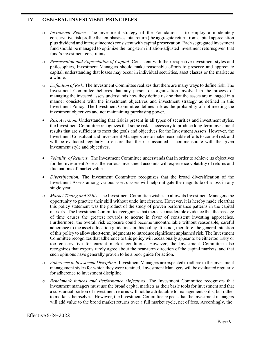#### <span id="page-8-0"></span>**IV. GENERAL INVESTMENT PRINCIPLES**

- o *Investment Return.* The investment strategy of the Foundation is to employ a moderately conservative risk profile that emphasizes total return (the aggregate return from capital appreciation plus dividend and interest income) consistent with capital preservation. Each segregated investment fund should be managed to optimize the long-term inflation-adjusted investment returnsgiven that fund's investment constraints.
- o *Preservation and Appreciation of Capital.* Consistent with their respective investment styles and philosophies, Investment Managers should make reasonable efforts to preserve and appreciate capital, understanding that losses may occur in individual securities, asset classes or the market as a whole.
- o *Definition of Risk.* The Investment Committee realizes that there are many ways to define risk. The Investment Committee believes that any person or organization involved in the process of managing the invested assets understands how they define risk so that the assets are managed in a manner consistent with the investment objectives and investment strategy as defined in this Investment Policy. The Investment Committee defines risk as the probability of not meeting the investment objectives and not maintaining purchasing power.
- *Risk Aversion.* Understanding that risk is present in all types of securities and investment styles, the Investment Committee recognizes that some risk is necessary to produce long-term investment results that are sufficient to meet the goals and objectives for the Investment Assets. However, the Investment Consultant and Investment Managers are to make reasonable efforts to control risk and will be evaluated regularly to ensure that the risk assumed is commensurate with the given investment style and objectives.
- *Volatility of Returns.* The Investment Committee understands that in order to achieve its objectives for the Investment Assets, the various investment accounts will experience volatility of returns and fluctuations of market value.
- *Diversification.* The Investment Committee recognizes that the broad diversification of the Investment Assets among various asset classes will help mitigate the magnitude of a loss in any single year.
- o *Market Timing and Shifts.* The Investment Committee wishes to allow its Investment Managers the opportunity to practice their skill without undo interference. However, it is hereby made clearthat this policy statement was the product of the study of proven performance patterns in the capital markets. The Investment Committee recognizes that there is considerable evidence that the passage of time causes the greatest rewards to accrue in favor of consistent investing approaches. Furthermore, the overall risk exposure could become uncontrollable without reasonable, careful adherence to the asset allocation guidelines in this policy. It is not, therefore, the general intention of this policy to allow short-term judgmentsto introduce significant unplanned risk. The Investment Committee recognizes that adherence to this policy will occasionally appear to be eithertoo risky or too conservative for current market conditions. However, the Investment Committee also recognizes that experts rarely agree about the near-term direction of the capital markets, and that such opinions have generally proven to be a poor guide for action.
- o *Adherence to Investment Discipline.* Investment Managers are expected to adhere to the investment management styles for which they were retained. Investment Managers will be evaluated regularly for adherence to investment discipline.
- o *Benchmark Indices and Performance Objectives.* The Investment Committee recognizes that investment managers must use the broad capital markets as their basic tools for investment and that a substantial portion of investment returns will not be attributable to management skills, but rather to markets themselves. However, the Investment Committee expects that the investment managers will add value to the broad market returns over a full market cycle, net of fees. Accordingly, the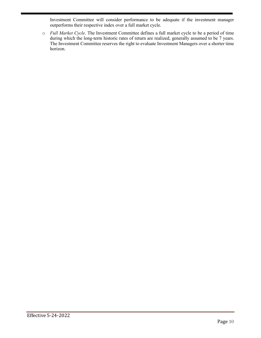Investment Committee will consider performance to be adequate if the investment manager outperforms their respective index over a full market cycle.

o *Full Market Cycle*. The Investment Committee defines a full market cycle to be a period of time during which the long-term historic rates of return are realized, generally assumed to be 7 years. The Investment Committee reserves the right to evaluate Investment Managers over a shorter time horizon.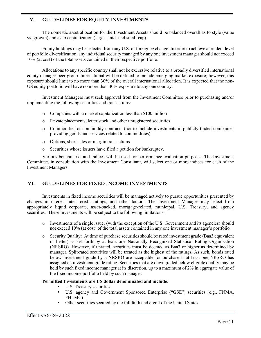#### <span id="page-10-0"></span>**V. GUIDELINES FOR EQUITY INVESTMENTS**

The domestic asset allocation for the Investment Assets should be balanced overall as to style (value vs. growth) and as to capitalization (large-, mid- and small-cap).

Equity holdings may be selected from any U.S. or foreign exchange. In order to achieve a prudent level of portfolio diversification, any individual security managed by any one investment manager should not exceed 10% (at cost) of the total assets contained in their respective portfolio.

Allocations to any specific country shall not be excessive relative to a broadly diversified international equity manager peer group. International will be defined to include emerging market exposure; however, this exposure should limit to no more than 30% of the overall international allocation. It is expected that the non-US equity portfolio will have no more than 40% exposure to any one country.

Investment Managers must seek approval from the Investment Committee prior to purchasing and/or implementing the following securities and transactions:

- o Companies with a market capitalization less than \$100 million
- o Private placements, letter stock and other unregistered securities
- o Commodities or commodity contracts (not to include investments in publicly traded companies providing goods and services related to commodities)
- o Options, short sales or margin transactions
- o Securities whose issuers have filed a petition for bankruptcy.

Various benchmarks and indices will be used for performance evaluation purposes. The Investment Committee, in consultation with the Investment Consultant, will select one or more indices for each of the Investment Managers.

#### <span id="page-10-1"></span>**VI. GUIDELINES FOR FIXED INCOME INVESTMENTS**

Investments in fixed income securities will be managed actively to pursue opportunities presented by changes in interest rates, credit ratings, and other factors. The Investment Manager may select from appropriately liquid corporate, asset-backed, mortgage-related, municipal, U.S. Treasury, and agency securities. These investments will be subject to the following limitations:

- o Investments of a single issuer (with the exception of the U.S. Government and its agencies) should not exceed 10% (at cost) of the total assets contained in any one investment manager's portfolio.
- o Security Quality: At time of purchase securities should be rated investment grade (Baa3 equivalent or better) as set forth by at least one Nationally Recognized Statistical Rating Organization (NRSRO). However, if unrated, securities must be deemed as Baa3 or higher as determined by manager. Split-rated securities will be treated as the highest of the ratings. As such, bonds rated below investment grade by a NRSRO are acceptable for purchase if at least one NRSRO has assigned an investment grade rating. Securities that are downgraded below eligible quality may be held by such fixed income manager at its discretion, up to a maximum of 2% in aggregate value of the fixed income portfolio held by such manager.

#### **Permitted Investments are US dollar denominated and include:**

- **U.S. Treasury securities**
- U.S. agency and Government Sponsored Enterprise ("GSE") securities (e.g., FNMA, FHLMC)
- Other securities secured by the full faith and credit of the United States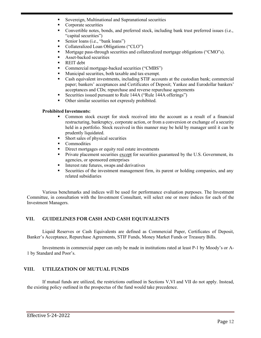- Sovereign, Multinational and Supranational securities
- Corporate securities
- Convertible notes, bonds, and preferred stock, including bank trust preferred issues (i.e., "capital securities")
- Senior loans (i.e., "bank loans")
- Collateralized Loan Obligations ("CLO")
- Mortgage pass-through securities and collateralized mortgage obligations ("CMO"s).
- Asset-backed securities
- REIT debt
- Commercial mortgage-backed securities ("CMBS")
- Municipal securities, both taxable and tax-exempt.
- Cash equivalent investments, including STIF accounts at the custodian bank; commercial paper; bankers' acceptances and Certificates of Deposit; Yankee and Eurodollar bankers' acceptances and CDs; repurchase and reverse repurchase agreements
- Securities issued pursuant to Rule 144A ("Rule 144A offerings")
- Other similar securities not expressly prohibited.

#### **Prohibited Investments:**

- Common stock except for stock received into the account as a result of a financial restructuring, bankruptcy, corporate action, or from a conversion or exchange of a security held in a portfolio. Stock received in this manner may be held by manager until it can be prudently liquidated.
- Short sales of physical securities
- Commodities
- Direct mortgages or equity real estate investments
- Private placement securities except for securities guaranteed by the U.S. Government, its agencies, or sponsored enterprises
- Interest rate futures, swaps and derivatives
- Securities of the investment management firm, its parent or holding companies, and any related subsidiaries

Various benchmarks and indices will be used for performance evaluation purposes. The Investment Committee, in consultation with the Investment Consultant, will select one or more indices for each of the Investment Managers.

#### <span id="page-11-0"></span>**VII. GUIDELINES FOR CASH AND CASH EQUIVALENTS**

Liquid Reserves or Cash Equivalents are defined as Commercial Paper, Certificates of Deposit, Banker's Acceptance, Repurchase Agreements, STIF Funds, Money Market Funds or Treasury Bills.

Investments in commercial paper can only be made in institutions rated at least P-1 by Moody's or A-1 by Standard and Poor's.

#### <span id="page-11-1"></span>**VIII. UTILIZATION OF MUTUAL FUNDS**

If mutual funds are utilized, the restrictions outlined in Sections V,VI and VII do not apply. Instead, the existing policy outlined in the prospectus of the fund would take precedence.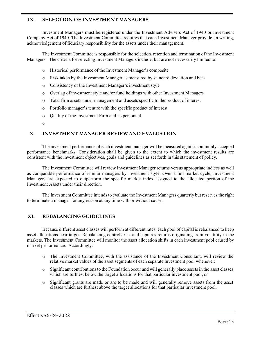#### <span id="page-12-0"></span>**IX. SELECTION OF INVESTMENT MANAGERS**

Investment Managers must be registered under the Investment Advisers Act of 1940 or Investment Company Act of 1940. The Investment Committee requires that each Investment Manager provide, in writing, acknowledgement of fiduciary responsibility for the assets under their management.

The Investment Committee is responsible for the selection, retention and termination of the Investment Managers. The criteria for selecting Investment Managers include, but are not necessarily limited to:

- o Historical performance of the Investment Manager's composite
- o Risk taken by the Investment Manager as measured by standard deviation and beta
- o Consistency of the Investment Manager's investment style
- o Overlap of investment style and/or fund holdings with other Investment Managers
- o Total firm assets under management and assets specific to the product of interest
- o Portfolio manager's tenure with the specific product of interest
- o Quality of the Investment Firm and its personnel.
- o

#### <span id="page-12-1"></span>**X. INVESTMENT MANAGER REVIEW AND EVALUATION**

The investment performance of each investment manager will be measured against commonly accepted performance benchmarks. Consideration shall be given to the extent to which the investment results are consistent with the investment objectives, goals and guidelines as set forth in this statement of policy.

The Investment Committee will review Investment Manager returns versus appropriate indices as well as comparable performance of similar managers by investment style. Over a full market cycle, Investment Managers are expected to outperform the specific market index assigned to the allocated portion of the Investment Assets under their direction.

The Investment Committee intends to evaluate the Investment Managers quarterly but reserves the right to terminate a manager for any reason at any time with or without cause.

#### <span id="page-12-2"></span>**XI. REBALANCING GUIDELINES**

Because different asset classes will perform at different rates, each pool of capital is rebalanced to keep asset allocations near target. Rebalancing controls risk and captures returns originating from volatility in the markets. The Investment Committee will monitor the asset allocation shifts in each investment pool caused by market performance. Accordingly:

- o The Investment Committee, with the assistance of the Investment Consultant, will review the relative market values of the asset segments of each separate investment pool whenever:
- $\circ$  Significant contributions to the Foundation occur and will generally place assets in the asset classes which are furthest below the target allocations for that particular investment pool, or
- o Significant grants are made or are to be made and will generally remove assets from the asset classes which are furthest above the target allocations for that particular investment pool.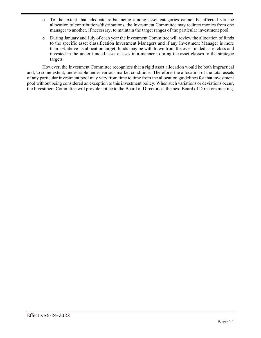- o To the extent that adequate re-balancing among asset categories cannot be affected via the allocation of contributions/distributions, the Investment Committee may redirect monies from one manager to another, if necessary, to maintain the target ranges of the particular investment pool.
- o During January and July of each year the Investment Committee will review the allocation of funds to the specific asset classification Investment Managers and if any Investment Manager is more than 5% above its allocation target, funds may be withdrawn from the over funded asset class and invested in the under-funded asset classes in a manner to bring the asset classes to the strategic targets.

However, the Investment Committee recognizes that a rigid asset allocation would be both impractical and, to some extent, undesirable under various market conditions. Therefore, the allocation of the total assets of any particular investment pool may vary from time to time from the allocation guidelines for that investment pool without being considered an exception to this investment policy. When such variations or deviations occur, the Investment Committee will provide notice to the Board of Directors at the next Board of Directors meeting.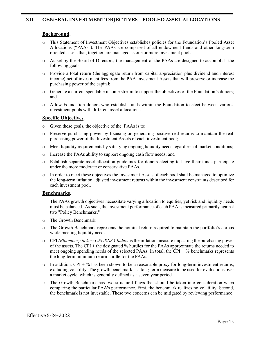#### <span id="page-14-0"></span>**Background.**

- o This Statement of Investment Objectives establishes policies for the Foundation's Pooled Asset Allocations ("PAAs"). The PAAs are comprised of all endowment funds and other long-term oriented assets that, together, are managed as one or more investment pools.
- o As set by the Board of Directors, the management of the PAAs are designed to accomplish the following goals:
- o Provide a total return (the aggregate return from capital appreciation plus dividend and interest income) net of investment fees from the PAA Investment Assets that will preserve or increase the purchasing power of the capital;
- o Generate a current spendable income stream to support the objectives of the Foundation's donors; and
- o Allow Foundation donors who establish funds within the Foundation to elect between various investment pools with different asset allocations.

#### **Specific Objectives.**

- o Given these goals, the objective of the PAAs is to:
- o Preserve purchasing power by focusing on generating positive real returns to maintain the real purchasing power of the Investment Assets of each investment pool;
- o Meet liquidity requirements by satisfying ongoing liquidity needs regardless of market conditions;
- o Increase the PAAs ability to support ongoing cash flow needs; and
- o Establish separate asset allocation guidelines for donors electing to have their funds participate under the more moderate or conservative PAAs.
- o In order to meet these objectives the Investment Assets of each pool shall be managed to optimize the long-term inflation adjusted investment returns within the investment constraints described for each investment pool.

#### **Benchmarks.**

The PAAs growth objectives necessitate varying allocation to equities, yet risk and liquidity needs must be balanced. As such, the investment performance of each PAA is measured primarily against two "Policy Benchmarks."

- o The Growth Benchmark
- o The Growth Benchmark represents the nominal return required to maintain the portfolio's corpus while meeting liquidity needs.
- o CPI *(Bloomberg ticker: CPURNSA Index)* is the inflation measure impacting the purchasing power of the assets. The CPI + the designated % hurdles for the PAAs approximate the returns needed to meet ongoing spending needs of the selected PAAs. In total, the CPI  $+$  % benchmarks represents the long-term minimum return hurdle for the PAAs.
- $\circ$  In addition, CPI + % has been shown to be a reasonable proxy for long-term investment returns, excluding volatility. The growth benchmark is a long-term measure to be used for evaluations over a market cycle, which is generally defined as a seven year period.
- o The Growth Benchmark has two structural flaws that should be taken into consideration when comparing the particular PAA's performance. First, the benchmark realizes no volatility. Second, the benchmark is not investable. These two concerns can be mitigated by reviewing performance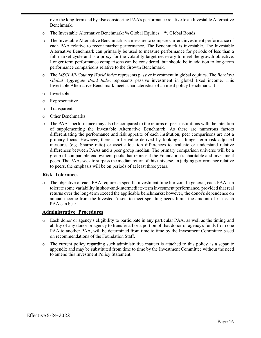over the long-term and by also considering PAA's performance relative to an Investable Alternative Benchmark.

- o The Investable Alternative Benchmark: % Global Equities + % Global Bonds
- o The Investable Alternative Benchmark is a measure to compare current investment performance of each PAA relative to recent market performance. The Benchmark is investable. The Investable Alternative Benchmark can primarily be used to measure performance for periods of less than a full market cycle and is a proxy for the volatility target necessary to meet the growth objective. Longer term performance comparisons can be considered, but should be in addition to long-term performance comparisons relative to the Growth Benchmark.
- o The *MSCI All-Country World Index* represents passive investment in global equities. The *Barclays Global Aggregate Bond Index* represents passive investment in global fixed income. This Investable Alternative Benchmark meets characteristics of an ideal policy benchmark. It is:
- o Investable
- o Representative
- o Transparent
- o Other Benchmarks
- o The PAA's performance may also be compared to the returns of peer institutions with the intention of supplementing the Investable Alternative Benchmark. As there are numerous factors differentiating the performance and risk appetite of each institution, peer comparisons are not a primary focus. However, there can be value derived by looking at longer-term risk adjusted measures (e.g. Sharpe ratio) or asset allocation differences to evaluate or understand relative differences between PAAs and a peer group median. The primary comparison universe will be a group of comparable endowment pools that represent the Foundation's charitable and investment peers. The PAAs seek to surpass the median return of this universe. In judging performance relative to peers, the emphasis will be on periods of at least three years.

#### **Risk Tolerance.**

o The objective of each PAA requires a specific investment time horizon. In general, each PAA can tolerate some variability in short-and-intermediate-term investment performance, provided that real returns over the long-term exceed the applicable benchmarks; however, the donor's dependence on annual income from the Invested Assets to meet spending needs limits the amount of risk each PAA can bear.

#### **Administrative Procedures**

- o Each donor or agency's eligibility to participate in any particular PAA, as well as the timing and ability of any donor or agency to transfer all or a portion of that donor or agency's funds from one PAA to another PAA, will be determined from time to time by the Investment Committee based on recommendations of the Foundation Staff.
- o The current policy regarding such administrative matters is attached to this policy as a separate appendix and may be substituted from time to time by the Investment Committee without the need to amend this Investment Policy Statement.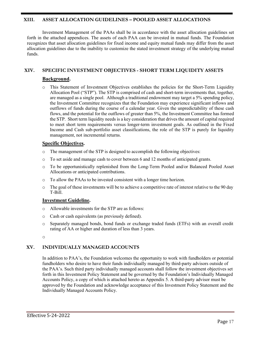#### **XIII. ASSET ALLOCATION GUIDELINES – POOLED ASSET ALLOCATIONS**

Investment Management of the PAAs shall be in accordance with the asset allocation guidelines set forth in the attached appendices. The assets of each PAA can be invested in mutual funds. The Foundation recognizes that asset allocation guidelines for fixed income and equity mutual funds may differ from the asset allocation guidelines due to the inability to customize the stated investment strategy of the underlying mutual funds.

#### <span id="page-16-0"></span>**XIV. SPECIFIC INVESTMENT OBJECTIVES - SHORT TERM LIQUIDITY ASSETS**

#### **Background.**

o This Statement of Investment Objectives establishes the policies for the Short-Term Liquidity Allocation Pool ("STP"). The STP is comprised of cash and short-term investments that, together, are managed as a single pool. Although a traditional endowment may target a 5% spending policy, the Investment Committee recognizes that the Foundation may experience significant inflows and outflows of funds during the course of a calendar year. Given the unpredictability of these cash flows, and the potential for the outflows of greater than 5%, the Investment Committee has formed the STP. Short term liquidity needs is a key consideration that drives the amount of capital required to meet short term requirements versus longer-term investment goals. As outlined in the Fixed Income and Cash sub-portfolio asset classifications, the role of the STP is purely for liquidity management, not incremental returns.

#### **Specific Objectives.**

- o The management of the STP is designed to accomplish the following objectives:
- o To set aside and manage cash to cover between 6 and 12 months of anticipated grants.
- o To be opportunistically replenished from the Long-Term Pooled and/or Balanced Pooled Asset Allocations or anticipated contributions.
- o To allow the PAAs to be invested consistent with a longer time horizon.
- o The goal of these investments will be to achieve a competitive rate of interest relative to the 90 day T-Bill.

#### **Investment Guideline.**

- o Allowable investments for the STP are as follows:
- o Cash or cash equivalents (as previously defined).
- o Separately managed bonds, bond funds or exchange traded funds (ETFs) with an overall credit rating of AA or higher and duration of less than 3 years.

o

#### **XV. INDIVIDUALLY MANAGED ACCOUNTS**

In addition to PAA's, the Foundation welcomes the opportunity to work with fundholders or potential fundholders who desire to have their funds individually managed by third-party advisors outside of the PAA's. Such third party individually managed accounts shall follow the investment objectives set forth in this Investment Policy Statement and be governed by the Foundation's Individually Managed Accounts Policy, a copy of which is attached hereto as Appendix 5. A third-party advisor must be approved by the Foundation and acknowledge acceptance of this Investment Policy Statement and the Individually Managed Accounts Policy.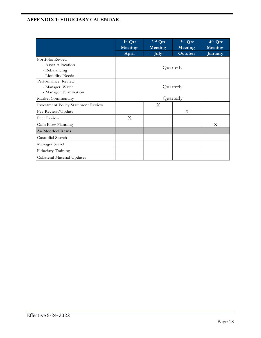### **APPENDIX 1: FIDUCIARY CALENDAR**

|                                                                              | 1st Qtr<br>Meeting<br>April | $2nd$ Qtr<br>Meeting<br><b>July</b> | 3rd Qtr<br>Meeting<br>October | 4th Qtr<br>Meeting<br>January |  |
|------------------------------------------------------------------------------|-----------------------------|-------------------------------------|-------------------------------|-------------------------------|--|
| Portfolio Review<br>- Asset Allocation<br>- Rebalancing<br>- Liquidity Needs | Quarterly                   |                                     |                               |                               |  |
| Performance Review<br>- Manager Watch<br>- Manager Termination               | Quarterly                   |                                     |                               |                               |  |
| Market Commentary                                                            | Quarterly                   |                                     |                               |                               |  |
| <b>Investment Policy Statement Review</b>                                    |                             | X                                   |                               |                               |  |
| Fee Review/Update                                                            |                             |                                     | X                             |                               |  |
| Peer Review                                                                  | X                           |                                     |                               |                               |  |
| Cash Flow Planning                                                           |                             |                                     |                               | X                             |  |
| As Needed Items                                                              |                             |                                     |                               |                               |  |
| Custodial Search                                                             |                             |                                     |                               |                               |  |
| Manager Search                                                               |                             |                                     |                               |                               |  |
| Fiduciary Training                                                           |                             |                                     |                               |                               |  |
| Collateral Material Updates                                                  |                             |                                     |                               |                               |  |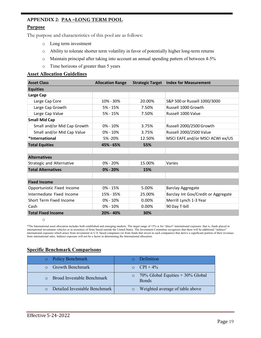## **APPENDIX 2: PAA –LONG TERM POOL**

#### **Purpose**

The purpose and characteristics of this pool are as follows:

- o Long term investment
- o Ability to tolerate shorter term volatility in favor of potentially higher long-term returns
- o Maintain principal after taking into account an annual spending pattern of between 4-5%
- o Time horizons of greater than 5 years

#### **Asset Allocation Guidelines**

| <b>Asset Class</b>               | <b>Allocation Range</b> |        | <b>Strategic Target Index for Measurement</b> |
|----------------------------------|-------------------------|--------|-----------------------------------------------|
| <b>Equities</b>                  |                         |        |                                               |
| Large Cap                        |                         |        |                                               |
| Large Cap Core                   | 10% - 30%               | 20.00% | S&P 500 or Russell 1000/3000                  |
| Large Cap Growth                 | $5% - 15%$              | 7.50%  | Russell 1000 Growth                           |
| Large Cap Value                  | 5% - 15%                | 7.50%  | Russell 1000 Value                            |
| <b>Small Mid Cap</b>             |                         |        |                                               |
| Small and/or Mid Cap Growth      | $0\% - 10\%$            | 3.75%  | Russell 2000/2500 Growth                      |
| Small and/or Mid Cap Value       | $0\% - 10\%$            | 3.75%  | Russell 2000/2500 Value                       |
| *International                   | 5% - 20%                | 12.50% | MSCI EAFE and/or MSCI ACWI ex/US              |
| <b>Total Equities</b>            | 45% - 65%               | 55%    |                                               |
|                                  |                         |        |                                               |
| <b>Alternatives</b>              |                         |        |                                               |
| <b>Strategic and Alternative</b> | 0% - 20%                | 15.00% | Varies                                        |
| <b>Total Alternatives</b>        | $0\% - 20\%$            | 15%    |                                               |
|                                  |                         |        |                                               |
| <b>Fixed Income</b>              |                         |        |                                               |
| Opportunistic Fixed Income       | $0\% - 15\%$            | 5.00%  | <b>Barclay Aggregate</b>                      |
| Intermediate Fixed Income        | 15% - 35%               | 25.00% | Barclay Int Gov/Credit or Aggregate           |
| Short Term Fixed Income          | $0\% - 10\%$            | 0.00%  | Merrill Lynch 1-3 Year                        |
| Cash                             | $0\% - 10\%$            | 0.00%  | 90 Day T-bill                                 |
| <b>Total Fixed Income</b>        | 20% - 40%               | 30%    |                                               |

o

\*The International asset allocation includes both established and emerging markets. The target range of 15% is for "direct" international exposure: that is, funds placed in international investment vehicles or in securities of firms based outside the United States. The Investment Committee recognizes that there will be additional "indirect" international exposure which arises from investment in U.S. based companies (or from funds that invest in such companies) that derive a significant portion of their revenues from international sales. Indirect exposure will not be a factor in determining the International allocation.

#### **Specific Benchmark Comparisons**

| o Policy Benchmark                     | Definition                                                        |
|----------------------------------------|-------------------------------------------------------------------|
| $\circ$ Growth Benchmark               | $O$ CPI + 4%                                                      |
| <b>O</b> Broad Investable Benchmark    | $70\%$ Global Equities $+30\%$ Global<br>$\circ$<br><b>B</b> onds |
| <b>O</b> Detailed Investable Benchmark | Weighted average of table above                                   |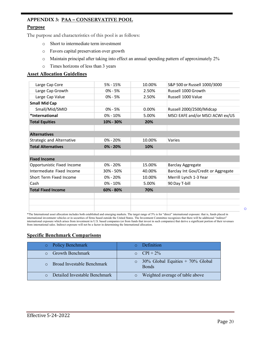# **APPENDIX 3: PAA – CONSERVATIVE POOL**

#### **Purpose**

The purpose and characteristics of this pool is as follows:

- o Short to intermediate term investment
- o Favors capital preservation over growth
- o Maintain principal after taking into effect an annual spending pattern of approximately 2%
- o Times horizons of less than 3 years

#### **Asset Allocation Guidelines**

| Large Cap Core                   | $5% - 15%$   | 10.00% | S&P 500 or Russell 1000/3000        |
|----------------------------------|--------------|--------|-------------------------------------|
| Large Cap Growth                 | $0\% - 5\%$  | 2.50%  | Russell 1000 Growth                 |
| Large Cap Value                  | $0\% - 5\%$  | 2.50%  | Russell 1000 Value                  |
| <b>Small Mid Cap</b>             |              |        |                                     |
| Small/Mid/SMID                   | $0\% - 5\%$  | 0.00%  | Russell 2000/2500/Midcap            |
| *International                   | $0\% - 10\%$ | 5.00%  | MSCI EAFE and/or MSCI ACWI ex/US    |
| <b>Total Equities</b>            | 10% - 30%    | 20%    |                                     |
|                                  |              |        |                                     |
| <b>Alternatives</b>              |              |        |                                     |
| <b>Strategic and Alternative</b> | $0\% - 20\%$ | 10.00% | Varies                              |
| <b>Total Alternatives</b>        | 0% - 20%     | 10%    |                                     |
|                                  |              |        |                                     |
| <b>Fixed Income</b>              |              |        |                                     |
| Opportunistic Fixed Income       | $0\% - 20\%$ | 15.00% | <b>Barclay Aggregate</b>            |
| Intermediate Fixed Income        | 30% - 50%    | 40.00% | Barclay Int Gov/Credit or Aggregate |
| Short Term Fixed Income          | $0\% - 20\%$ | 10.00% | Merrill Lynch 1-3 Year              |
| Cash                             | $0\% - 10\%$ | 5.00%  | 90 Day T-bill                       |
| <b>Total Fixed Income</b>        | 60% - 80%    | 70%    |                                     |
|                                  |              |        |                                     |
|                                  |              |        |                                     |
|                                  |              |        |                                     |
|                                  |              |        |                                     |

\*The International asset allocation includes both established and emerging markets. The target range of 5% is for "direct" international exposure: that is, funds placed in international investment vehicles or in securities of firms based outside the United States. The Investment Committee recognizes that there will be additional "indirect" international exposure which arises from investment in U.S. based companies (or from funds that invest in such companies) that derive a significant portion of their revenues from international sales. Indirect exposure will not be a factor in determining the International allocation.

#### **Specific Benchmark Comparisons**

| Policy Benchmark                   | Definition                                           |
|------------------------------------|------------------------------------------------------|
| <b>Growth Benchmark</b>            | $O$ CPI + 2%                                         |
| $\circ$ Broad Investable Benchmark | $30\%$ Global Equities + 70% Global<br><b>B</b> onds |
| Detailed Investable Benchmark      | Weighted average of table above                      |

o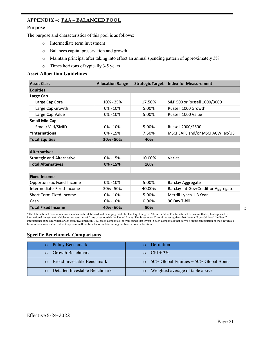#### **APPENDIX 4: PAA – BALANCED POOL**

#### **Purpose**

The purpose and characteristics of this pool is as follows:

- o Intermediate term investment
- o Balances capital preservation and growth
- o Maintain principal after taking into effect an annual spending pattern of approximately 3%
- o Times horizons of typically 3-5 years

#### **Asset Allocation Guidelines**

| <b>Asset Class</b>               | <b>Allocation Range</b> |        | <b>Strategic Target Index for Measurement</b> |
|----------------------------------|-------------------------|--------|-----------------------------------------------|
| <b>Equities</b>                  |                         |        |                                               |
| Large Cap                        |                         |        |                                               |
| Large Cap Core                   | 10% - 25%               | 17.50% | S&P 500 or Russell 1000/3000                  |
| Large Cap Growth                 | $0\% - 10\%$            | 5.00%  | Russell 1000 Growth                           |
| Large Cap Value                  | $0\% - 10\%$            | 5.00%  | Russell 1000 Value                            |
| <b>Small Mid Cap</b>             |                         |        |                                               |
| Small/Mid/SMID                   | 0% - 10%                | 5.00%  | Russell 2000/2500                             |
| *International                   | $0\% - 15\%$            | 7.50%  | MSCI EAFE and/or MSCI ACWI ex/US              |
| <b>Total Equities</b>            | 30% - 50%               | 40%    |                                               |
|                                  |                         |        |                                               |
| <b>Alternatives</b>              |                         |        |                                               |
| <b>Strategic and Alternative</b> | $0\% - 15\%$            | 10.00% | Varies                                        |
| <b>Total Alternatives</b>        | $0\% - 15\%$            | 10%    |                                               |
|                                  |                         |        |                                               |
| <b>Fixed Income</b>              |                         |        |                                               |
| Opportunistic Fixed Income       | $0\% - 10\%$            | 5.00%  | <b>Barclay Aggregate</b>                      |
| Intermediate Fixed Income        | 30% - 50%               | 40.00% | Barclay Int Gov/Credit or Aggregate           |
| Short Term Fixed Income          | $0\% - 10\%$            | 5.00%  | Merrill Lynch 1-3 Year                        |
| Cash                             | $0\% - 10\%$            | 0.00%  | 90 Day T-bill                                 |
| <b>Total Fixed Income</b>        | 40% - 60%               | 50%    |                                               |

\*The International asset allocation includes both established and emerging markets. The target range of 5% is for "direct" international exposure: that is, funds placed in international investment vehicles or in securities of firms based outside the United States. The Investment Committee recognizes that there will be additional "indirect" international exposure which arises from investment in U.S. based companies (or from funds that invest in such companies) that derive a significant portion of their revenues from international sales. Indirect exposure will not be a factor in determining the International allocation.

#### **Specific Benchmark Comparisons**

| <b>O</b> Policy Benchmark           | <b>Definition</b>                              |
|-------------------------------------|------------------------------------------------|
| $\circ$ Growth Benchmark            | $O$ CPI + 3%                                   |
| <b>O</b> Broad Investable Benchmark | $\circ$ 50% Global Equities + 50% Global Bonds |
| Detailed Investable Benchmark       | Weighted average of table above                |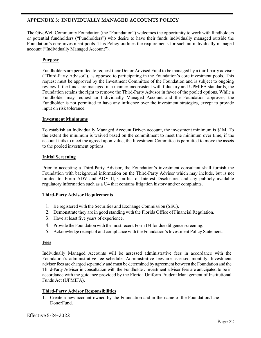#### **APPENDIX 5: INDIVIDUALLY MANAGED ACCOUNTS POLICY**

The GiveWell Community Foundation (the "Foundation") welcomes the opportunity to work with fundholders or potential fundholders ("Fundholders") who desire to have their funds individually managed outside the Foundation's core investment pools. This Policy outlines the requirements for such an individually managed account ("Individually Managed Account").

#### **Purpose**

Fundholders are permitted to request their Donor Advised Fund to be managed by a third-party advisor ("Third-Party Advisor"), as opposed to participating in the Foundation's core investment pools. This request must be approved by the Investment Committee of the Foundation and is subject to ongoing review**.** If the funds are managed in a manner inconsistent with fiduciary and UPMIFA standards, the Foundation retains the right to remove the Third-Party Advisor in favor of the pooled options**.** While a Fundholder may request an Individually Managed Account and the Foundation approves, the Fundholder is not permitted to have any influence over the investment strategies, except to provide input on risk tolerance.

#### **Investment Minimums**

To establish an Individually Managed Account Driven account, the investment minimum is \$1M. To the extent the minimum is waived based on the commitment to meet the minimum over time, if the account fails to meet the agreed upon value, the Investment Committee is permitted to move the assets to the pooled investment options.

#### **Initial Screening**

Prior to accepting a Third-Party Advisor, the Foundation's investment consultant shall furnish the Foundation with background information on the Third-Party Advisor which may include, but is not limited to, Form ADV and ADV II, Conflict of Interest Disclosures and any publicly available regulatory information such as a U4 that contains litigation history and/or complaints.

#### **Third-Party Advisor Requirements**

- 1. Be registered with the Securities and Exchange Commission (SEC).
- 2. Demonstrate they are in good standing with the Florida Office of Financial Regulation.
- 3. Have at least five years of experience.
- 4. Provide the Foundation with the most recent Form U4 for due diligence screening.
- 5. Acknowledge receipt of and compliance with the Foundation'sInvestment Policy Statement.

#### **Fees**

Individually Managed Accounts will be assessed administrative fees in accordance with the Foundation's administrative fee schedule. Administrative fees are assessed monthly. Investment advisor fees are charged separately and must be determined by agreement between theFoundation andthe Third-Party Advisor in consultation with the Fundholder. Investment advisor fees are anticipated to be in accordance with the guidance provided by the Florida Uniform Prudent Management of Institutional Funds Act (UPMIFA).

#### **Third-Party Advisor Responsibilities**

1. Create a new account owned by the Foundation and in the name of the Foundation/Jane DonorFund.